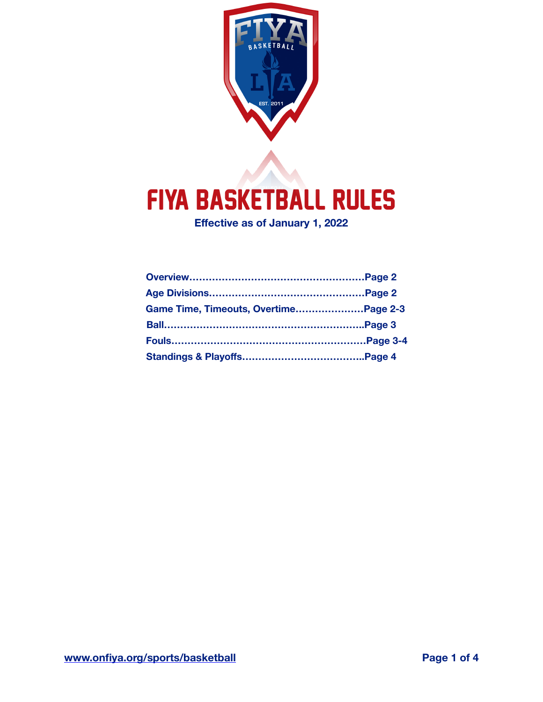

# FIYA Basketball Rules

**Effective as of January 1, 2022**

| Game Time, Timeouts, OvertimePage 2-3 |  |
|---------------------------------------|--|
|                                       |  |
|                                       |  |
|                                       |  |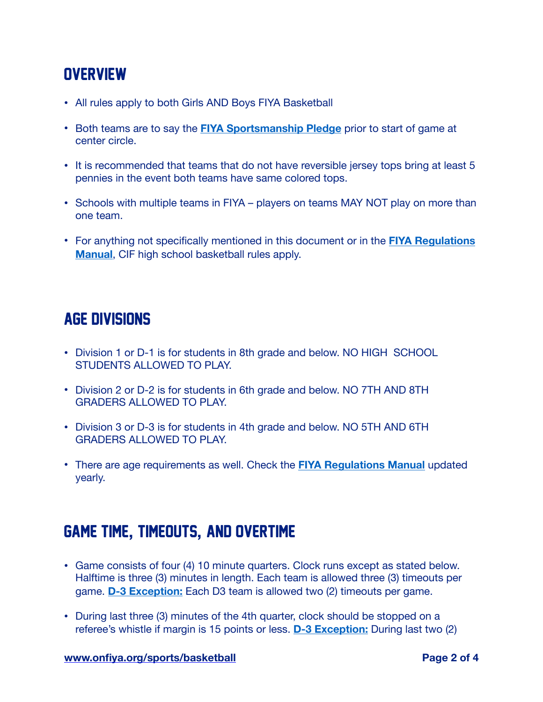### **OVERVIEW**

- All rules apply to both Girls AND Boys FIYA Basketball
- Both teams are to say the **[FIYA Sportsmanship Pledge](https://onfiya.org/participants/sportsmanship/)** prior to start of game at center circle.
- It is recommended that teams that do not have reversible jersey tops bring at least 5 pennies in the event both teams have same colored tops.
- Schools with multiple teams in FIYA players on teams MAY NOT play on more than one team.
- For anything not specifically mentioned in this document or in the **[FIYA Regulations](https://onfiya.org/about/regulations-manual/)  [Manual](https://onfiya.org/about/regulations-manual/)**, CIF high school basketball rules apply.

### Age divisions

- Division 1 or D-1 is for students in 8th grade and below. NO HIGH SCHOOL STUDENTS ALLOWED TO PLAY.
- Division 2 or D-2 is for students in 6th grade and below. NO 7TH AND 8TH GRADERS ALLOWED TO PLAY.
- Division 3 or D-3 is for students in 4th grade and below. NO 5TH AND 6TH GRADERS ALLOWED TO PLAY.
- There are age requirements as well. Check the **[FIYA Regulations Manual](https://onfiya.org/about/regulations-manual/)** updated yearly.

## GAME TIME**,** TIMEOUTS**,** AND OVERTIME

- Game consists of four (4) 10 minute quarters. Clock runs except as stated below. Halftime is three (3) minutes in length. Each team is allowed three (3) timeouts per game. **D-3 Exception:** Each D3 team is allowed two (2) timeouts per game.
- During last three (3) minutes of the 4th quarter, clock should be stopped on a referee's whistle if margin is 15 points or less. **D-3 Exception:** During last two (2)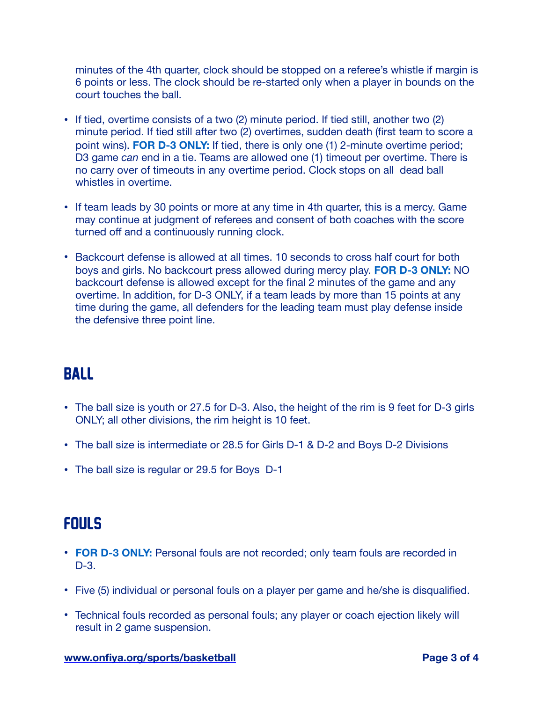minutes of the 4th quarter, clock should be stopped on a referee's whistle if margin is 6 points or less. The clock should be re-started only when a player in bounds on the court touches the ball.

- If tied, overtime consists of a two (2) minute period. If tied still, another two (2) minute period. If tied still after two (2) overtimes, sudden death (first team to score a point wins). **FOR D-3 ONLY:** If tied, there is only one (1) 2-minute overtime period; D3 game *can* end in a tie. Teams are allowed one (1) timeout per overtime. There is no carry over of timeouts in any overtime period. Clock stops on all dead ball whistles in overtime.
- If team leads by 30 points or more at any time in 4th quarter, this is a mercy. Game may continue at judgment of referees and consent of both coaches with the score turned off and a continuously running clock.
- Backcourt defense is allowed at all times. 10 seconds to cross half court for both boys and girls. No backcourt press allowed during mercy play. **FOR D-3 ONLY:** NO backcourt defense is allowed except for the final 2 minutes of the game and any overtime. In addition, for D-3 ONLY, if a team leads by more than 15 points at any time during the game, all defenders for the leading team must play defense inside the defensive three point line.

#### BALL

- The ball size is youth or 27.5 for D-3. Also, the height of the rim is 9 feet for D-3 girls ONLY; all other divisions, the rim height is 10 feet.
- The ball size is intermediate or 28.5 for Girls D-1 & D-2 and Boys D-2 Divisions
- The ball size is regular or 29.5 for Boys D-1

#### **FOULS**

- **FOR D-3 ONLY:** Personal fouls are not recorded; only team fouls are recorded in D-3.
- Five (5) individual or personal fouls on a player per game and he/she is disqualified.
- Technical fouls recorded as personal fouls; any player or coach ejection likely will result in 2 game suspension.